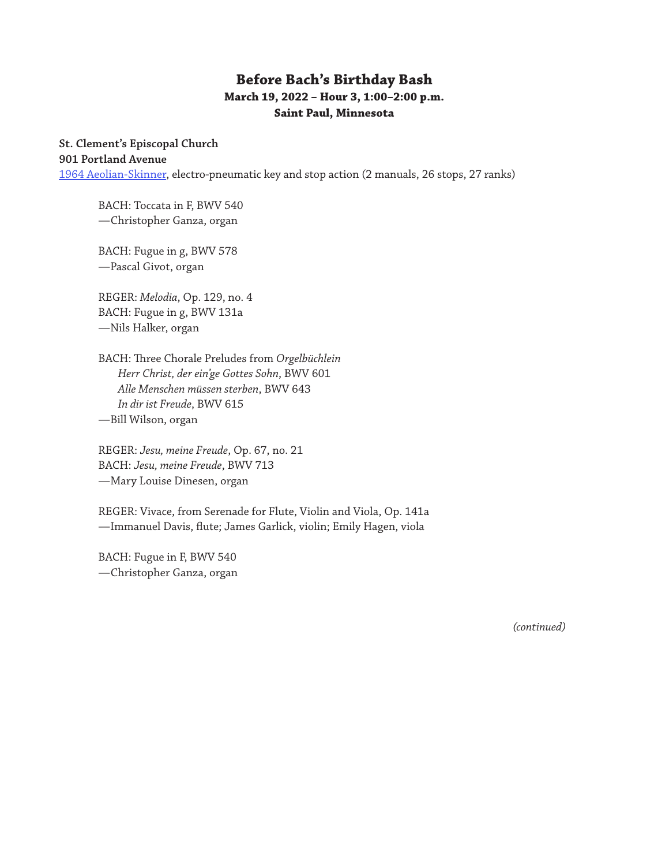## **Before Bach's Birthday Bash March 19, 2022 – Hour 3, 1:00–2:00 p.m. Saint Paul, Minnesota**

## **St. Clement's Episcopal Church**

**901 Portland Avenue**

[1964 Aeolian-Skinner](https://www.pipeorganlist.com/OrganList/datamn/MNStPaulStClementAeolianSkinner.html), electro-pneumatic key and stop action (2 manuals, 26 stops, 27 ranks)

BACH: Toccata in F, BWV 540 —Christopher Ganza, organ

BACH: Fugue in g, BWV 578 —Pascal Givot, organ

REGER: *Melodia*, Op. 129, no. 4 BACH: Fugue in g, BWV 131a —Nils Halker, organ

BACH: Three Chorale Preludes from *Orgelbüchlein Herr Christ, der ein'ge Gottes Sohn*, BWV 601 *Alle Menschen müssen sterben*, BWV 643 *In dir ist Freude*, BWV 615 —Bill Wilson, organ

REGER: *Jesu, meine Freude*, Op. 67, no. 21 BACH: *Jesu, meine Freude*, BWV 713 —Mary Louise Dinesen, organ

REGER: Vivace, from Serenade for Flute, Violin and Viola, Op. 141a —Immanuel Davis, flute; James Garlick, violin; Emily Hagen, viola

BACH: Fugue in F, BWV 540 —Christopher Ganza, organ

*(continued)*